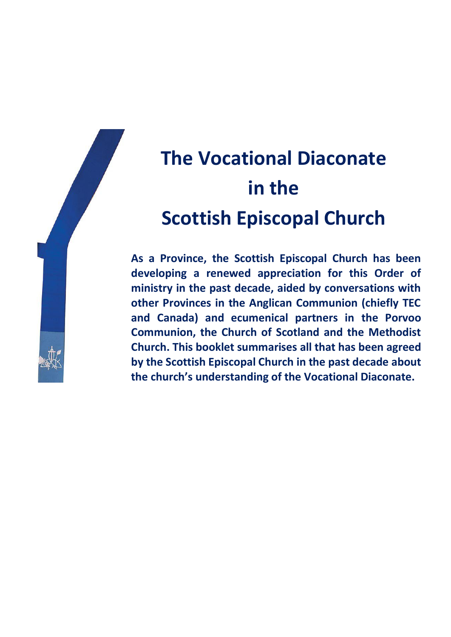

## **The Vocational Diaconate in the Scottish Episcopal Church**

**As a Province, the Scottish Episcopal Church has been developing a renewed appreciation for this Order of ministry in the past decade, aided by conversations with other Provinces in the Anglican Communion (chiefly TEC and Canada) and ecumenical partners in the Porvoo Communion, the Church of Scotland and the Methodist Church. This booklet summarises all that has been agreed by the Scottish Episcopal Church in the past decade about the church's understanding of the Vocational Diaconate.**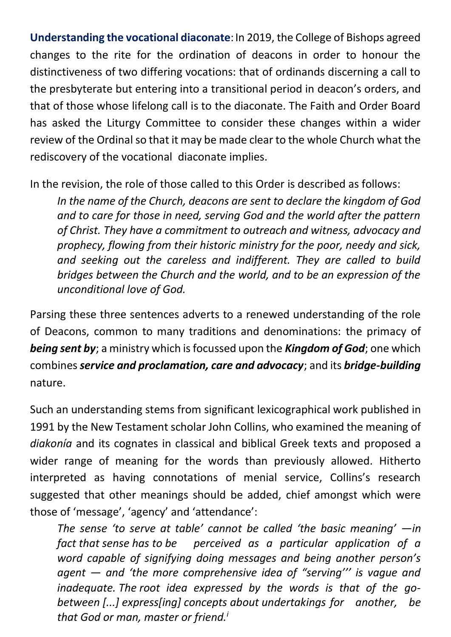**Understanding the vocational diaconate**:In 2019, the College of Bishops agreed changes to the rite for the ordination of deacons in order to honour the distinctiveness of two differing vocations: that of ordinands discerning a call to the presbyterate but entering into a transitional period in deacon's orders, and that of those whose lifelong call is to the diaconate. The Faith and Order Board has asked the Liturgy Committee to consider these changes within a wider review of the Ordinal so that it may be made clear to the whole Church what the rediscovery of the vocational diaconate implies.

In the revision, the role of those called to this Order is described as follows:

*In the name of the Church, deacons are sent to declare the kingdom of God and to care for those in need, serving God and the world after the pattern of Christ. They have a commitment to outreach and witness, advocacy and prophecy, flowing from their historic ministry for the poor, needy and sick, and seeking out the careless and indifferent. They are called to build bridges between the Church and the world, and to be an expression of the unconditional love of God.* 

Parsing these three sentences adverts to a renewed understanding of the role of Deacons, common to many traditions and denominations: the primacy of *being sent by*; a ministry which is focussed upon the *Kingdom of God*; one which combines *service and proclamation, care and advocacy*; and its *bridge-building* nature.

Such an understanding stems from significant lexicographical work published in 1991 by the New Testament scholar John Collins, who examined the meaning of *diakonía* and its cognates in classical and biblical Greek texts and proposed a wider range of meaning for the words than previously allowed. Hitherto interpreted as having connotations of menial service, Collins's research suggested that other meanings should be added, chief amongst which were those of 'message', 'agency' and 'attendance':

*The sense 'to serve at table' cannot be called 'the basic meaning' —in fact that sense has to be perceived as a particular application of a word capable of signifying doing messages and being another person's agent — and 'the more comprehensive idea of "serving''' is vague and inadequate. The root idea expressed by the words is that of the gobetween [...] express[ing] concepts about undertakings for another, be that God or man, master or friend.i*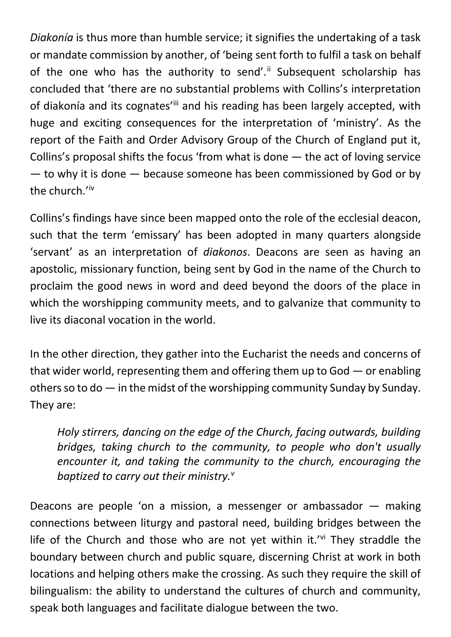*Diakonía* is thus more than humble service; it signifies the undertaking of a task or mandate commission by another, of 'being sent forth to fulfil a task on behalf of the one who has the authority to send'.<sup>ii</sup> Subsequent scholarship has concluded that 'there are no substantial problems with Collins's interpretation of diakonía and its cognates'ill and his reading has been largely accepted, with huge and exciting consequences for the interpretation of 'ministry'. As the report of the Faith and Order Advisory Group of the Church of England put it, Collins's proposal shifts the focus 'from what is done — the act of loving service — to why it is done — because someone has been commissioned by God or by the church.'iv

Collins's findings have since been mapped onto the role of the ecclesial deacon, such that the term 'emissary' has been adopted in many quarters alongside 'servant' as an interpretation of *diakonos*. Deacons are seen as having an apostolic, missionary function, being sent by God in the name of the Church to proclaim the good news in word and deed beyond the doors of the place in which the worshipping community meets, and to galvanize that community to live its diaconal vocation in the world.

In the other direction, they gather into the Eucharist the needs and concerns of that wider world, representing them and offering them up to God — or enabling others so to do  $-$  in the midst of the worshipping community Sunday by Sunday. They are:

*Holy stirrers, dancing on the edge of the Church, facing outwards, building bridges, taking church to the community, to people who don't usually encounter it, and taking the community to the church, encouraging the baptized to carry out their ministry.<sup>v</sup>*

Deacons are people 'on a mission, a messenger or ambassador — making connections between liturgy and pastoral need, building bridges between the life of the Church and those who are not yet within it.'vi They straddle the boundary between church and public square, discerning Christ at work in both locations and helping others make the crossing. As such they require the skill of bilingualism: the ability to understand the cultures of church and community, speak both languages and facilitate dialogue between the two.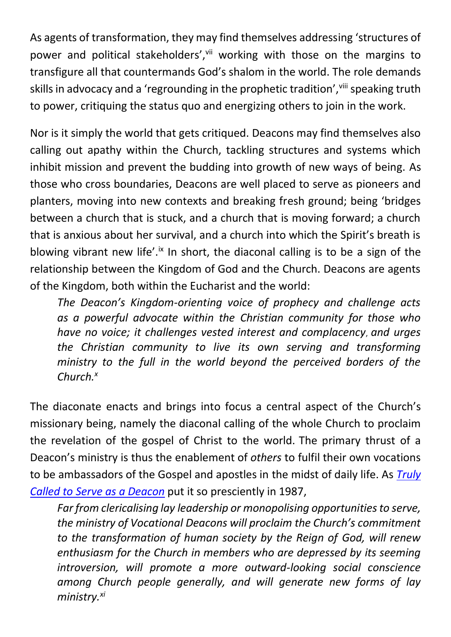As agents of transformation, they may find themselves addressing 'structures of power and political stakeholders', vii working with those on the margins to transfigure all that countermands God's shalom in the world. The role demands skills in advocacy and a 'regrounding in the prophetic tradition', vill speaking truth to power, critiquing the status quo and energizing others to join in the work.

Nor is it simply the world that gets critiqued. Deacons may find themselves also calling out apathy within the Church, tackling structures and systems which inhibit mission and prevent the budding into growth of new ways of being. As those who cross boundaries, Deacons are well placed to serve as pioneers and planters, moving into new contexts and breaking fresh ground; being 'bridges between a church that is stuck, and a church that is moving forward; a church that is anxious about her survival, and a church into which the Spirit's breath is blowing vibrant new life'.<sup>ix</sup> In short, the diaconal calling is to be a sign of the relationship between the Kingdom of God and the Church. Deacons are agents of the Kingdom, both within the Eucharist and the world:

*The Deacon's Kingdom-orienting voice of prophecy and challenge acts as a powerful advocate within the Christian community for those who have no voice; it challenges vested interest and complacency*, *and urges the Christian community to live its own serving and transforming ministry to the full in the world beyond the perceived borders of the Church.<sup>x</sup>*

The diaconate enacts and brings into focus a central aspect of the Church's missionary being, namely the diaconal calling of the whole Church to proclaim the revelation of the gospel of Christ to the world. The primary thrust of a Deacon's ministry is thus the enablement of *others* to fulfil their own vocations to be ambassadors of the Gospel and apostles in the midst of daily life. As *[Truly](https://www.scotland.anglican.org/wp-content/uploads/Truly-called-by-God.pdf)  [Called to Serve as a Deacon](https://www.scotland.anglican.org/wp-content/uploads/Truly-called-by-God.pdf)* put it so presciently in 1987,

*Far from clericalising lay leadership or monopolising opportunities to serve, the ministry of Vocational Deacons will proclaim the Church's commitment to the transformation of human society by the Reign of God, will renew enthusiasm for the Church in members who are depressed by its seeming introversion, will promote a more outward-looking social conscience among Church people generally, and will generate new forms of lay ministry.xi*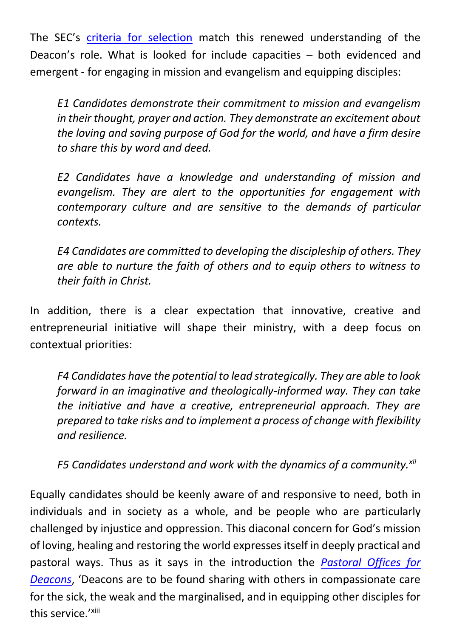The SEC's [criteria for selection](https://www.scotland.anglican.org/who-we-are/vocation-and-ministry/ministry-scottish-episcopal-church/) match this renewed understanding of the Deacon's role. What is looked for include capacities – both evidenced and emergent - for engaging in mission and evangelism and equipping disciples:

*E1 Candidates demonstrate their commitment to mission and evangelism in their thought, prayer and action. They demonstrate an excitement about the loving and saving purpose of God for the world, and have a firm desire to share this by word and deed.* 

*E2 Candidates have a knowledge and understanding of mission and evangelism. They are alert to the opportunities for engagement with contemporary culture and are sensitive to the demands of particular contexts.* 

*E4 Candidates are committed to developing the discipleship of others. They are able to nurture the faith of others and to equip others to witness to their faith in Christ.*

In addition, there is a clear expectation that innovative, creative and entrepreneurial initiative will shape their ministry, with a deep focus on contextual priorities:

*F4 Candidates have the potential to lead strategically. They are able to look forward in an imaginative and theologically-informed way. They can take the initiative and have a creative, entrepreneurial approach. They are prepared to take risks and to implement a process of change with flexibility and resilience.* 

*F5 Candidates understand and work with the dynamics of a community.xii*

Equally candidates should be keenly aware of and responsive to need, both in individuals and in society as a whole, and be people who are particularly challenged by injustice and oppression. This diaconal concern for God's mission of loving, healing and restoring the world expresses itself in deeply practical and pastoral ways. Thus as it says in the introduction the *[Pastoral Offices for](https://www.scotland.anglican.org/wp-content/uploads/FINAL-Indexed-Pastoral-Offices-for-Deacons.pdf)  [Deacons](https://www.scotland.anglican.org/wp-content/uploads/FINAL-Indexed-Pastoral-Offices-for-Deacons.pdf)*, 'Deacons are to be found sharing with others in compassionate care for the sick, the weak and the marginalised, and in equipping other disciples for this service.'<sup>xiii</sup>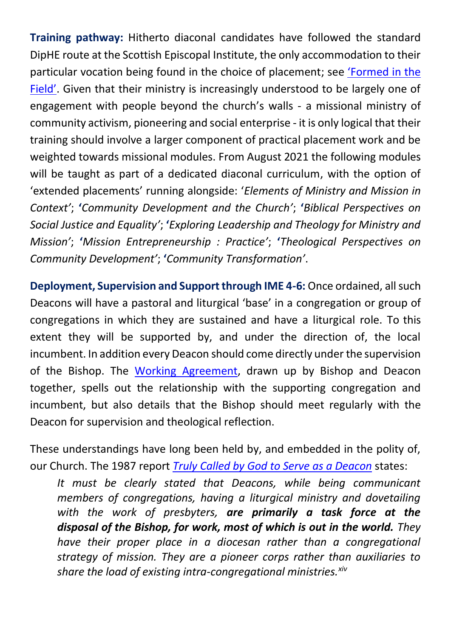**Training pathway:** Hitherto diaconal candidates have followed the standard DipHE route at the Scottish Episcopal Institute, the only accommodation to their particular vocation being found in the choice of placement; see ['Formed in the](https://www.scotland.anglican.org/wp-content/uploads/2020-44a-SEI-Journal-Winter.pdf)  [Field'](https://www.scotland.anglican.org/wp-content/uploads/2020-44a-SEI-Journal-Winter.pdf). Given that their ministry is increasingly understood to be largely one of engagement with people beyond the church's walls - a missional ministry of community activism, pioneering and social enterprise - it is only logical that their training should involve a larger component of practical placement work and be weighted towards missional modules. From August 2021 the following modules will be taught as part of a dedicated diaconal curriculum, with the option of 'extended placements' running alongside: '*Elements of Ministry and Mission in Context'*; **'***Community Development and the Church'*; **'***Biblical Perspectives on Social Justice and Equality'*; **'***Exploring Leadership and Theology for Ministry and Mission'*; **'***Mission Entrepreneurship : Practice'*; **'***Theological Perspectives on Community Development'*; **'***Community Transformation'*.

**Deployment, Supervision and Support through IME 4-6: Once ordained, all such** Deacons will have a pastoral and liturgical 'base' in a congregation or group of congregations in which they are sustained and have a liturgical role. To this extent they will be supported by, and under the direction of, the local incumbent. In addition every Deacon should come directly under the supervision of the Bishop. The [Working Agreement,](https://www.scotland.anglican.org/who-we-are/vocation-and-ministry/sei/sei-pro-formas/) drawn up by Bishop and Deacon together, spells out the relationship with the supporting congregation and incumbent, but also details that the Bishop should meet regularly with the Deacon for supervision and theological reflection.

These understandings have long been held by, and embedded in the polity of, our Church. The 1987 report *[Truly Called by God to Serve as a Deacon](https://www.scotland.anglican.org/wp-content/uploads/Truly-called-by-God.pdf)* states:

*It must be clearly stated that Deacons, while being communicant members of congregations, having a liturgical ministry and dovetailing with the work of presbyters, are primarily a task force at the disposal of the Bishop, for work, most of which is out in the world. They have their proper place in a diocesan rather than a congregational strategy of mission. They are a pioneer corps rather than auxiliaries to share the load of existing intra-congregational ministries.xiv*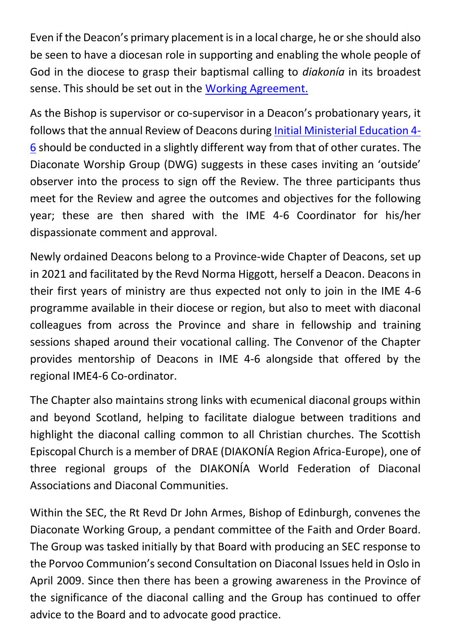Even if the Deacon's primary placement is in a local charge, he or she should also be seen to have a diocesan role in supporting and enabling the whole people of God in the diocese to grasp their baptismal calling to *diakonía* in its broadest sense. This should be set out in the [Working Agreement.](https://www.scotland.anglican.org/who-we-are/vocation-and-ministry/sei/sei-pro-formas/)

As the Bishop is supervisor or co-supervisor in a Deacon's probationary years, it follows that the annual Review of Deacons during [Initial Ministerial Education 4-](https://www.scotland.anglican.org/wp-content/uploads/IME-4-6-Handbook-2020-2021-Oct-2020-with-forms-update.pdf) [6](https://www.scotland.anglican.org/wp-content/uploads/IME-4-6-Handbook-2020-2021-Oct-2020-with-forms-update.pdf) should be conducted in a slightly different way from that of other curates. The Diaconate Worship Group (DWG) suggests in these cases inviting an 'outside' observer into the process to sign off the Review. The three participants thus meet for the Review and agree the outcomes and objectives for the following year; these are then shared with the IME 4-6 Coordinator for his/her dispassionate comment and approval.

Newly ordained Deacons belong to a Province-wide Chapter of Deacons, set up in 2021 and facilitated by the Revd Norma Higgott, herself a Deacon. Deacons in their first years of ministry are thus expected not only to join in the IME 4-6 programme available in their diocese or region, but also to meet with diaconal colleagues from across the Province and share in fellowship and training sessions shaped around their vocational calling. The Convenor of the Chapter provides mentorship of Deacons in IME 4-6 alongside that offered by the regional IME4-6 Co-ordinator.

The Chapter also maintains strong links with ecumenical diaconal groups within and beyond Scotland, helping to facilitate dialogue between traditions and highlight the diaconal calling common to all Christian churches. The Scottish Episcopal Church is a member of DRAE (DIAKONÍA Region Africa-Europe), one of three regional groups of the DIAKONÍA World Federation of Diaconal Associations and Diaconal Communities.

Within the SEC, the Rt Revd Dr John Armes, Bishop of Edinburgh, convenes the Diaconate Working Group, a pendant committee of the Faith and Order Board. The Group was tasked initially by that Board with producing an SEC response to the Porvoo Communion's second Consultation on Diaconal Issues held in Oslo in April 2009. Since then there has been a growing awareness in the Province of the significance of the diaconal calling and the Group has continued to offer advice to the Board and to advocate good practice.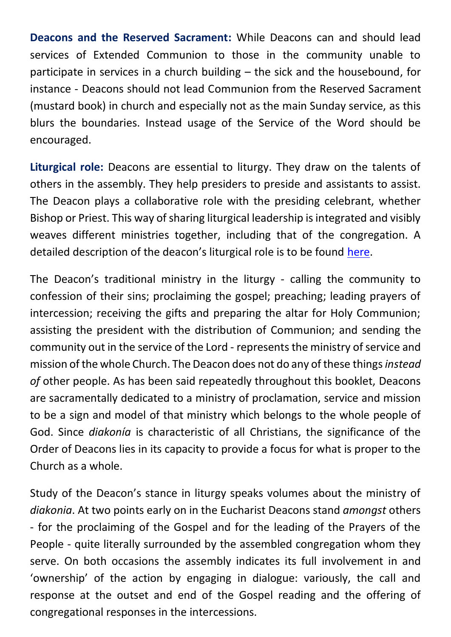**Deacons and the Reserved Sacrament:** While Deacons can and should lead services of Extended Communion to those in the community unable to participate in services in a church building – the sick and the housebound, for instance - Deacons should not lead Communion from the Reserved Sacrament (mustard book) in church and especially not as the main Sunday service, as this blurs the boundaries. Instead usage of the Service of the Word should be encouraged.

**Liturgical role:** Deacons are essential to liturgy. They draw on the talents of others in the assembly. They help presiders to preside and assistants to assist. The Deacon plays a collaborative role with the presiding celebrant, whether Bishop or Priest. This way of sharing liturgical leadership is integrated and visibly weaves different ministries together, including that of the congregation. A detailed description of the deacon's liturgical role is to be found [here.](https://www.scotland.anglican.org/wp-content/uploads/Diaconal-liturgical-norms-.pdf)

The Deacon's traditional ministry in the liturgy - calling the community to confession of their sins; proclaiming the gospel; preaching; leading prayers of intercession; receiving the gifts and preparing the altar for Holy Communion; assisting the president with the distribution of Communion; and sending the community out in the service of the Lord - represents the ministry of service and mission of the whole Church. The Deacon does not do any of these things *instead of* other people. As has been said repeatedly throughout this booklet, Deacons are sacramentally dedicated to a ministry of proclamation, service and mission to be a sign and model of that ministry which belongs to the whole people of God. Since *diakonía* is characteristic of all Christians, the significance of the Order of Deacons lies in its capacity to provide a focus for what is proper to the Church as a whole.

Study of the Deacon's stance in liturgy speaks volumes about the ministry of *diakonia*. At two points early on in the Eucharist Deacons stand *amongst* others - for the proclaiming of the Gospel and for the leading of the Prayers of the People - quite literally surrounded by the assembled congregation whom they serve. On both occasions the assembly indicates its full involvement in and 'ownership' of the action by engaging in dialogue: variously, the call and response at the outset and end of the Gospel reading and the offering of congregational responses in the intercessions.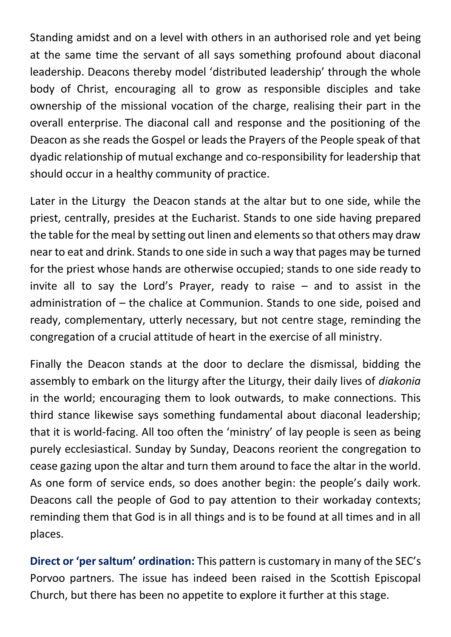Standing amidst and on a level with others in an authorised role and yet being at the same time the servant of all says something profound about diaconal leadership. Deacons thereby model 'distributed leadership' through the whole body of Christ, encouraging all to grow as responsible disciples and take ownership of the missional vocation of the charge, realising their part in the overall enterprise. The diaconal call and response and the positioning of the Deacon as she reads the Gospel or leads the Prayers of the People speak of that dyadic relationship of mutual exchange and co-responsibility for leadership that should occur in a healthy community of practice.

Later in the Liturgy the Deacon stands at the altar but to one side, while the priest, centrally, presides at the Eucharist. Stands to one side having prepared the table for the meal by setting out linen and elements so that others may draw near to eat and drink. Stands to one side in such a way that pages may be turned for the priest whose hands are otherwise occupied; stands to one side ready to invite all to say the Lord's Prayer, ready to raise – and to assist in the administration of – the chalice at Communion. Stands to one side, poised and ready, complementary, utterly necessary, but not centre stage, reminding the congregation of a crucial attitude of heart in the exercise of all ministry.

Finally the Deacon stands at the door to declare the dismissal, bidding the assembly to embark on the liturgy after the Liturgy, their daily lives of *diakonia* in the world; encouraging them to look outwards, to make connections. This third stance likewise says something fundamental about diaconal leadership; that it is world-facing. All too often the 'ministry' of lay people is seen as being purely ecclesiastical. Sunday by Sunday, Deacons reorient the congregation to cease gazing upon the altar and turn them around to face the altar in the world. As one form of service ends, so does another begin: the people's daily work. Deacons call the people of God to pay attention to their workaday contexts; reminding them that God is in all things and is to be found at all times and in all places.

**Direct or 'per saltum' ordination:** This pattern is customary in many of the SEC's Porvoo partners. The issue has indeed been raised in the Scottish Episcopal Church, but there has been no appetite to explore it further at this stage.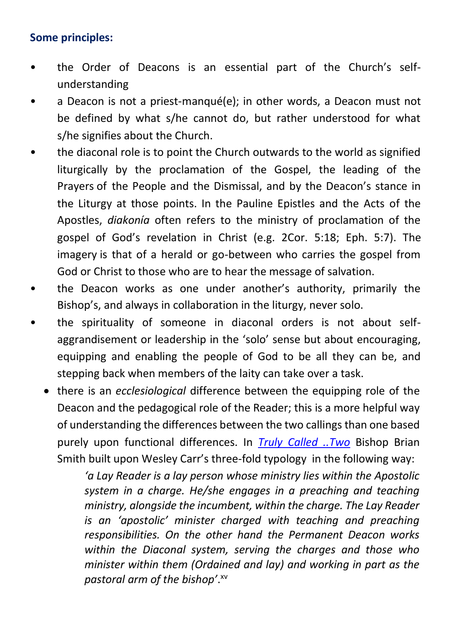## **Some principles:**

- the Order of Deacons is an essential part of the Church's selfunderstanding
- a Deacon is not a priest-manqué(e); in other words, a Deacon must not be defined by what s/he cannot do, but rather understood for what s/he signifies about the Church.
- the diaconal role is to point the Church outwards to the world as signified liturgically by the proclamation of the Gospel, the leading of the Prayers of the People and the Dismissal, and by the Deacon's stance in the Liturgy at those points. In the Pauline Epistles and the Acts of the Apostles, *diakonía* often refers to the ministry of proclamation of the gospel of God's revelation in Christ (e.g. 2Cor. 5:18; Eph. 5:7). The imagery is that of a herald or go-between who carries the gospel from God or Christ to those who are to hear the message of salvation.
- the Deacon works as one under another's authority, primarily the Bishop's, and always in collaboration in the liturgy, never solo.
- the spirituality of someone in diaconal orders is not about selfaggrandisement or leadership in the 'solo' sense but about encouraging, equipping and enabling the people of God to be all they can be, and stepping back when members of the laity can take over a task.
	- there is an *ecclesiological* difference between the equipping role of the Deacon and the pedagogical role of the Reader; this is a more helpful way of understanding the differences between the two callings than one based purely upon functional differences. In *[Truly Called ..Two](https://www.scotland.anglican.org/wp-content/uploads/Truly-Called-..Two_.pdf)* Bishop Brian Smith built upon Wesley Carr's three-fold typology in the following way:

*'a Lay Reader is a lay person whose ministry lies within the Apostolic system in a charge. He/she engages in a preaching and teaching ministry, alongside the incumbent, within the charge. The Lay Reader is an 'apostolic' minister charged with teaching and preaching responsibilities. On the other hand the Permanent Deacon works within the Diaconal system, serving the charges and those who minister within them (Ordained and lay) and working in part as the pastoral arm of the bishop'*. xv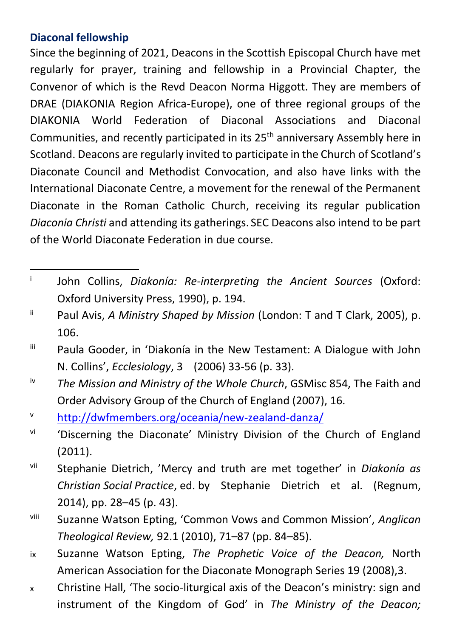## **Diaconal fellowship**

Since the beginning of 2021, Deacons in the Scottish Episcopal Church have met regularly for prayer, training and fellowship in a Provincial Chapter, the Convenor of which is the Revd Deacon Norma Higgott. They are members of DRAE (DIAKONIA Region Africa-Europe), one of three regional groups of the DIAKONIA World Federation of Diaconal Associations and Diaconal Communities, and recently participated in its 25<sup>th</sup> anniversary Assembly here in Scotland. Deacons are regularly invited to participate in the Church of Scotland's Diaconate Council and Methodist Convocation, and also have links with the International Diaconate Centre, a movement for the renewal of the Permanent Diaconate in the Roman Catholic Church, receiving its regular publication *Diaconia Christi* and attending its gatherings. SEC Deacons also intend to be part of the World Diaconate Federation in due course.

i John Collins, *Diakonía: Re-interpreting the Ancient Sources* (Oxford: Oxford University Press, 1990), p. 194.

ii Paul Avis, *A Ministry Shaped by Mission* (London: T and T Clark, 2005), p. 106.

iii Paula Gooder, in 'Diakonía in the New Testament: A Dialogue with John N. Collins', *Ecclesiology*, 3 (2006) 33-56 (p. 33).

iv *The Mission and Ministry of the Whole Church*, GSMisc 854, The Faith and Order Advisory Group of the Church of England (2007), 16.

<sup>v</sup> <http://dwfmembers.org/oceania/new-zealand-danza/>

vi 'Discerning the Diaconate' Ministry Division of the Church of England (2011).

vii Stephanie Dietrich, 'Mercy and truth are met together' in *Diakonía as Christian Social Practice*, ed. by Stephanie Dietrich et al. (Regnum, 2014), pp. 28–45 (p. 43).

viii Suzanne Watson Epting, 'Common Vows and Common Mission', *Anglican Theological Review,* 92.1 (2010), 71–87 (pp. 84–85).

ix Suzanne Watson Epting, *The Prophetic Voice of the Deacon,* North American Association for the Diaconate Monograph Series 19 (2008),3.

x Christine Hall, 'The socio-liturgical axis of the Deacon's ministry: sign and instrument of the Kingdom of God' in *The Ministry of the Deacon;*